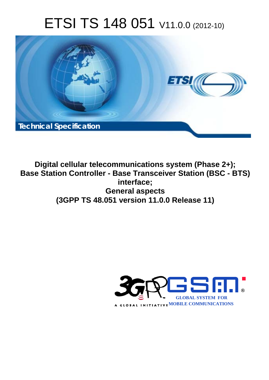# ETSI TS 148 051 V11.0.0 (2012-10)



**Digital cellular telecommunications system (Phase 2+); Base Station Controller - Base Transceiver Station (BSC - BTS) interface; General aspects (3GPP TS 48.051 version 11.0.0 Release 11)** 

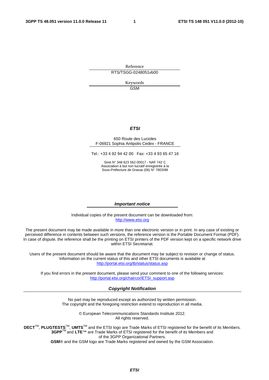Reference RTS/TSGG-0248051vb00

> Keywords GSM

#### *ETSI*

#### 650 Route des Lucioles F-06921 Sophia Antipolis Cedex - FRANCE

Tel.: +33 4 92 94 42 00 Fax: +33 4 93 65 47 16

Siret N° 348 623 562 00017 - NAF 742 C Association à but non lucratif enregistrée à la Sous-Préfecture de Grasse (06) N° 7803/88

#### *Important notice*

Individual copies of the present document can be downloaded from: [http://www.etsi.org](http://www.etsi.org/)

The present document may be made available in more than one electronic version or in print. In any case of existing or perceived difference in contents between such versions, the reference version is the Portable Document Format (PDF). In case of dispute, the reference shall be the printing on ETSI printers of the PDF version kept on a specific network drive within ETSI Secretariat.

Users of the present document should be aware that the document may be subject to revision or change of status. Information on the current status of this and other ETSI documents is available at <http://portal.etsi.org/tb/status/status.asp>

If you find errors in the present document, please send your comment to one of the following services: [http://portal.etsi.org/chaircor/ETSI\\_support.asp](http://portal.etsi.org/chaircor/ETSI_support.asp)

#### *Copyright Notification*

No part may be reproduced except as authorized by written permission. The copyright and the foregoing restriction extend to reproduction in all media.

> © European Telecommunications Standards Institute 2012. All rights reserved.

**DECT**TM, **PLUGTESTS**TM, **UMTS**TM and the ETSI logo are Trade Marks of ETSI registered for the benefit of its Members. **3GPP**TM and **LTE**™ are Trade Marks of ETSI registered for the benefit of its Members and of the 3GPP Organizational Partners.

**GSM**® and the GSM logo are Trade Marks registered and owned by the GSM Association.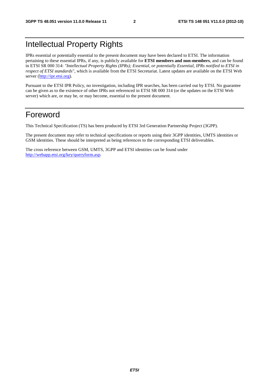# Intellectual Property Rights

IPRs essential or potentially essential to the present document may have been declared to ETSI. The information pertaining to these essential IPRs, if any, is publicly available for **ETSI members and non-members**, and can be found in ETSI SR 000 314: *"Intellectual Property Rights (IPRs); Essential, or potentially Essential, IPRs notified to ETSI in respect of ETSI standards"*, which is available from the ETSI Secretariat. Latest updates are available on the ETSI Web server [\(http://ipr.etsi.org](http://webapp.etsi.org/IPR/home.asp)).

Pursuant to the ETSI IPR Policy, no investigation, including IPR searches, has been carried out by ETSI. No guarantee can be given as to the existence of other IPRs not referenced in ETSI SR 000 314 (or the updates on the ETSI Web server) which are, or may be, or may become, essential to the present document.

### Foreword

This Technical Specification (TS) has been produced by ETSI 3rd Generation Partnership Project (3GPP).

The present document may refer to technical specifications or reports using their 3GPP identities, UMTS identities or GSM identities. These should be interpreted as being references to the corresponding ETSI deliverables.

The cross reference between GSM, UMTS, 3GPP and ETSI identities can be found under [http://webapp.etsi.org/key/queryform.asp.](http://webapp.etsi.org/key/queryform.asp)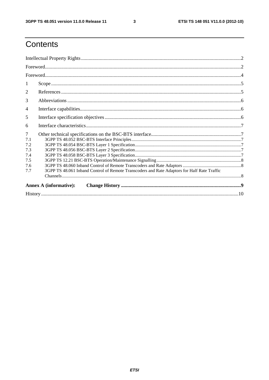$\mathbf{3}$ 

# Contents

| 1              |                                                                                             |  |  |  |  |
|----------------|---------------------------------------------------------------------------------------------|--|--|--|--|
| $\overline{2}$ |                                                                                             |  |  |  |  |
| 3              |                                                                                             |  |  |  |  |
| 4              |                                                                                             |  |  |  |  |
| 5              |                                                                                             |  |  |  |  |
| 6              |                                                                                             |  |  |  |  |
| 7              |                                                                                             |  |  |  |  |
| 7.1            |                                                                                             |  |  |  |  |
| 7.2            |                                                                                             |  |  |  |  |
| 7.3            |                                                                                             |  |  |  |  |
| 7.4            |                                                                                             |  |  |  |  |
| 7.5            |                                                                                             |  |  |  |  |
| 7.6            |                                                                                             |  |  |  |  |
| 7.7            | 3GPP TS 48.061 Inband Control of Remote Transcoders and Rate Adaptors for Half Rate Traffic |  |  |  |  |
|                |                                                                                             |  |  |  |  |
|                | <b>Annex A (informative):</b>                                                               |  |  |  |  |
|                |                                                                                             |  |  |  |  |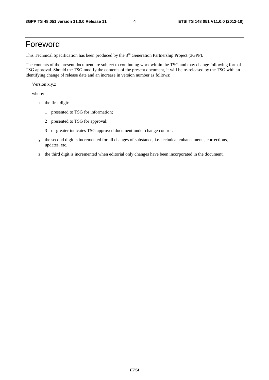## Foreword

This Technical Specification has been produced by the 3<sup>rd</sup> Generation Partnership Project (3GPP).

The contents of the present document are subject to continuing work within the TSG and may change following formal TSG approval. Should the TSG modify the contents of the present document, it will be re-released by the TSG with an identifying change of release date and an increase in version number as follows:

Version x.y.z

where:

- x the first digit:
	- 1 presented to TSG for information;
	- 2 presented to TSG for approval;
	- 3 or greater indicates TSG approved document under change control.
- y the second digit is incremented for all changes of substance, i.e. technical enhancements, corrections, updates, etc.
- z the third digit is incremented when editorial only changes have been incorporated in the document.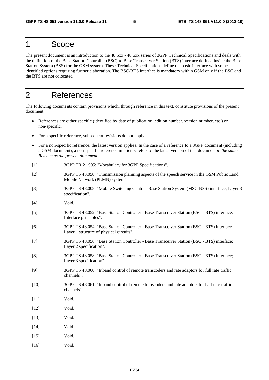#### 1 Scope

The present document is an introduction to the 48.5xx - 48.6xx series of 3GPP Technical Specifications and deals with the definition of the Base Station Controller (BSC) to Base Transceiver Station (BTS) interface defined inside the Base Station System (BSS) for the GSM system. These Technical Specifications define the basic interface with some identified options requiring further elaboration. The BSC-BTS interface is mandatory within GSM only if the BSC and the BTS are not colocated.

### 2 References

The following documents contain provisions which, through reference in this text, constitute provisions of the present document.

- References are either specific (identified by date of publication, edition number, version number, etc.) or non-specific.
- For a specific reference, subsequent revisions do not apply.
- For a non-specific reference, the latest version applies. In the case of a reference to a 3GPP document (including a GSM document), a non-specific reference implicitly refers to the latest version of that document *in the same Release as the present document*.
- [1] 3GPP TR 21.905: "Vocabulary for 3GPP Specifications".
- [2] 3GPP TS 43.050: "Transmission planning aspects of the speech service in the GSM Public Land Mobile Network (PLMN) system".
- [3] 3GPP TS 48.008: "Mobile Switching Centre Base Station System (MSC-BSS) interface; Layer 3 specification".
- [4] Void.
- [5] 3GPP TS 48.052: "Base Station Controller Base Transceiver Station (BSC BTS) interface; Interface principles".
- [6] 3GPP TS 48.054: "Base Station Controller Base Transceiver Station (BSC BTS) interface Layer 1 structure of physical circuits".
- [7] 3GPP TS 48.056: "Base Station Controller Base Transceiver Station (BSC BTS) interface; Layer 2 specification".
- [8] 3GPP TS 48.058: "Base Station Controller Base Transceiver Station (BSC BTS) interface; Layer 3 specification".
- [9] 3GPP TS 48.060: "Inband control of remote transcoders and rate adaptors for full rate traffic channels".
- [10] 3GPP TS 48.061: "Inband control of remote transcoders and rate adaptors for half rate traffic channels".
- [11] **Void.**
- [12] Void.
- [13] **Void.**
- [14] **Void.**
- [15] Void.
- [16] Void.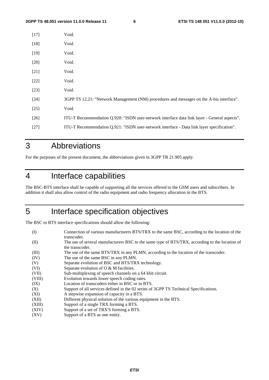| $[17]$ | Void.                                                                                        |
|--------|----------------------------------------------------------------------------------------------|
| $[18]$ | Void.                                                                                        |
| $[19]$ | Void.                                                                                        |
| $[20]$ | Void.                                                                                        |
| $[21]$ | Void.                                                                                        |
| $[22]$ | Void.                                                                                        |
| $[23]$ | Void.                                                                                        |
| $[24]$ | 3GPP TS 12.21: "Network Management (NM) procedures and messages on the A-bis interface".     |
| $[25]$ | Void.                                                                                        |
| $[26]$ | ITU-T Recommendation Q.920: "ISDN user-network interface data link layer - General aspects". |
| $[27]$ | ITU-T Recommendation Q.921: "ISDN user-network interface - Data link layer specification".   |
|        |                                                                                              |

# 3 Abbreviations

For the purposes of the present document, the abbreviations given in 3GPP TR 21.905 apply.

# 4 Interface capabilities

The BSC-BTS interface shall be capable of supporting all the services offered to the GSM users and subscribers. In addition it shall also allow control of the radio equipment and radio frequency allocation in the BTS.

# 5 Interface specification objectives

The BSC to BTS interface specifications should allow the following:

| Connection of various manufacturers BTS/TRX to the same BSC, according to the location of the<br>transcoder.      |
|-------------------------------------------------------------------------------------------------------------------|
| The use of several manufacturers BSC to the same type of BTS/TRX, according to the location of<br>the transcoder. |
| The use of the same BTS/TRX in any PLMN, according to the location of the transcoder.                             |
| The use of the same BSC in any PLMN.                                                                              |
| Separate evolution of BSC and BTS/TRX technology.                                                                 |
| Separate evolution of O & M facilities.                                                                           |
| Sub-multiplexing of speech channels on a 64 kbit circuit.                                                         |
| Evolution towards lower speech coding rates.                                                                      |
| Location of transcoders either in BSC or in BTS.                                                                  |
| Support of all services defined in the 02 series of 3GPP TS Technical Specifications.                             |
| A stepwise expansion of capacity in a BTS.                                                                        |
| Different physical solution of the various equipment in the BTS.                                                  |
| Support of a single TRX forming a BTS.                                                                            |
| Support of a set of TRX'S forming a BTS.                                                                          |
| Support of a BTS as one entity.                                                                                   |
|                                                                                                                   |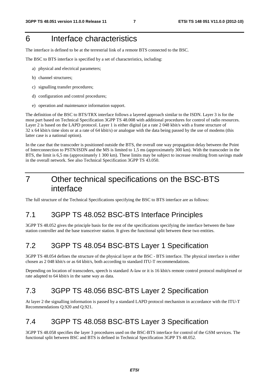# 6 Interface characteristics

The interface is defined to be at the terrestrial link of a remote BTS connected to the BSC.

The BSC to BTS interface is specified by a set of characteristics, including:

- a) physical and electrical parameters;
- b) channel structures;
- c) signalling transfer procedures;
- d) configuration and control procedures;
- e) operation and maintenance information support.

The definition of the BSC to BTS/TRX interface follows a layered approach similar to the ISDN. Layer 3 is for the most part based on Technical Specification 3GPP TS 48.008 with additional procedures for control of radio resources. Layer 2 is based on the LAPD protocol. Layer 1 is either digital (at a rate 2 048 kbit/s with a frame structure of 32 x 64 kbit/s time slots or at a rate of 64 kbit/s) or analogue with the data being passed by the use of modems (this latter case is a national option).

In the case that the transcoder is positioned outside the BTS, the overall one way propagation delay between the Point of Interconnection to PSTN/ISDN and the MS is limited to 1,5 ms (approximately 300 km). With the transcoder in the BTS, the limit is 6,5 ms (approximately 1 300 km). These limits may be subject to increase resulting from savings made in the overall network. See also Technical Specification 3GPP TS 43.050.

# 7 Other technical specifications on the BSC-BTS interface

The full structure of the Technical Specifications specifying the BSC to BTS interface are as follows:

### 7.1 3GPP TS 48.052 BSC-BTS Interface Principles

3GPP TS 48.052 gives the principle basis for the rest of the specifications specifying the interface between the base station controller and the base transceiver station. It gives the functional split between these two entities.

# 7.2 3GPP TS 48.054 BSC-BTS Layer 1 Specification

3GPP TS 48.054 defines the structure of the physical layer at the BSC - BTS interface. The physical interface is either chosen as 2 048 kbit/s or as 64 kbit/s, both according to standard ITU-T recommendations.

Depending on location of transcoders, speech is standard A-law or it is 16 kbit/s remote control protocol multiplexed or rate adapted to 64 kbit/s in the same way as data.

### 7.3 3GPP TS 48.056 BSC-BTS Layer 2 Specification

At layer 2 the signalling information is passed by a standard LAPD protocol mechanism in accordance with the ITU-T Recommendations Q.920 and Q.921.

# 7.4 3GPP TS 48.058 BSC-BTS Layer 3 Specification

3GPP TS 48.058 specifies the layer 3 procedures used on the BSC-BTS interface for control of the GSM services. The functional split between BSC and BTS is defined in Technical Specification 3GPP TS 48.052.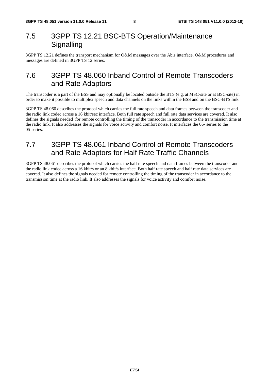#### 7.5 3GPP TS 12.21 BSC-BTS Operation/Maintenance **Signalling**

3GPP TS 12.21 defines the transport mechanism for O&M messages over the Abis interface. O&M procedures and messages are defined in 3GPP TS 12 series.

#### 7.6 3GPP TS 48.060 Inband Control of Remote Transcoders and Rate Adaptors

The transcoder is a part of the BSS and may optionally be located outside the BTS (e.g. at MSC-site or at BSC-site) in order to make it possible to multiplex speech and data channels on the links within the BSS and on the BSC-BTS link.

3GPP TS 48.060 describes the protocol which carries the full rate speech and data frames between the transcoder and the radio link codec across a 16 kbit/sec interface. Both full rate speech and full rate data services are covered. It also defines the signals needed for remote controlling the timing of the transcoder in accordance to the transmission time at the radio link. It also addresses the signals for voice activity and comfort noise. It interfaces the 06- series to the 05-series.

### 7.7 3GPP TS 48.061 Inband Control of Remote Transcoders and Rate Adaptors for Half Rate Traffic Channels

3GPP TS 48.061 describes the protocol which carries the half rate speech and data frames between the transcoder and the radio link codec across a 16 kbit/s or an 8 kbit/s interface. Both half rate speech and half rate data services are covered. It also defines the signals needed for remote controlling the timing of the transcoder in accordance to the transmission time at the radio link. It also addresses the signals for voice activity and comfort noise.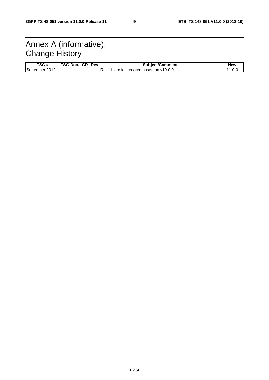# Annex A (informative): Change History

| TSG #            | TSG Doc. | <b>CR</b> | <b>Rev</b> | <b>Subject/Comment</b>                   | <b>New</b> |
|------------------|----------|-----------|------------|------------------------------------------|------------|
| 2012<br>Sepember |          |           |            | Rel-<br>version created based on y10.0.0 | 1.U.U      |